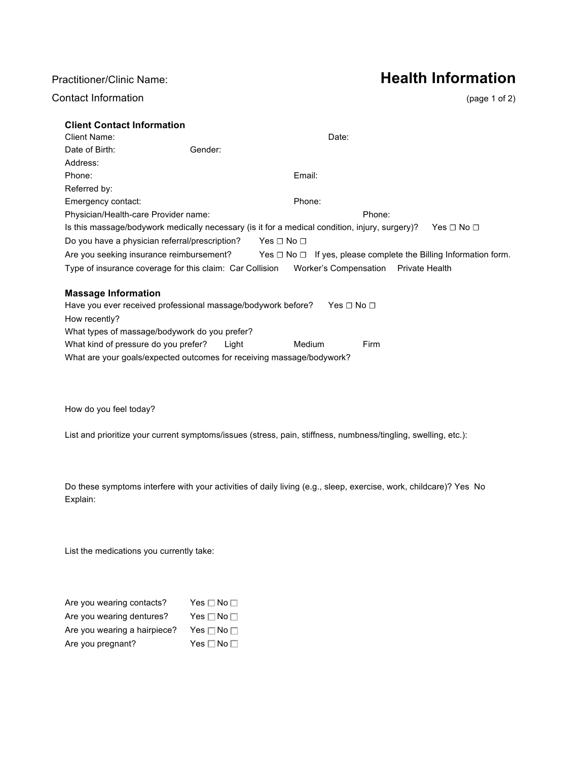## Contact Information (page 1 of 2)

# Practitioner/Clinic Name: **Health Information**

| <b>Client Contact Information</b>                        |                                                                                                |                                                                          |                      |
|----------------------------------------------------------|------------------------------------------------------------------------------------------------|--------------------------------------------------------------------------|----------------------|
| Client Name:                                             |                                                                                                | Date:                                                                    |                      |
| Date of Birth:                                           | Gender:                                                                                        |                                                                          |                      |
| Address:                                                 |                                                                                                |                                                                          |                      |
| Phone:                                                   | Email:                                                                                         |                                                                          |                      |
| Referred by:                                             |                                                                                                |                                                                          |                      |
| Emergency contact:                                       |                                                                                                | Phone:                                                                   |                      |
| Physician/Health-care Provider name:                     |                                                                                                | Phone:                                                                   |                      |
|                                                          | Is this massage/bodywork medically necessary (is it for a medical condition, injury, surgery)? |                                                                          | Yes $\Box$ No $\Box$ |
| Do you have a physician referral/prescription?           | $Yes \Box No \Box$                                                                             |                                                                          |                      |
| Are you seeking insurance reimbursement?                 |                                                                                                | $Yes \Box No \Box$ If yes, please complete the Billing Information form. |                      |
| Type of insurance coverage for this claim: Car Collision |                                                                                                | Worker's Compensation Private Health                                     |                      |
| <b>Massage Information</b>                               |                                                                                                |                                                                          |                      |
|                                                          | Have you ever received professional massage/bodywork before?                                   | Yes ⊟ No ⊟                                                               |                      |

| How recently?                                                         |         |        |      |
|-----------------------------------------------------------------------|---------|--------|------|
| What types of massage/bodywork do you prefer?                         |         |        |      |
| What kind of pressure do you prefer?                                  | l iaht. | Medium | Firm |
| What are your goals/expected outcomes for receiving massage/bodywork? |         |        |      |

How do you feel today?

List and prioritize your current symptoms/issues (stress, pain, stiffness, numbness/tingling, swelling, etc.):

Do these symptoms interfere with your activities of daily living (e.g., sleep, exercise, work, childcare)? Yes No Explain:

List the medications you currently take:

| Are you wearing contacts?    | Yes $\Box$ No $\Box$       |
|------------------------------|----------------------------|
| Are you wearing dentures?    | Yes $\square$ No $\square$ |
| Are you wearing a hairpiece? | Yes $\square$ No $\square$ |
| Are you pregnant?            | Yes $\square$ No $\square$ |